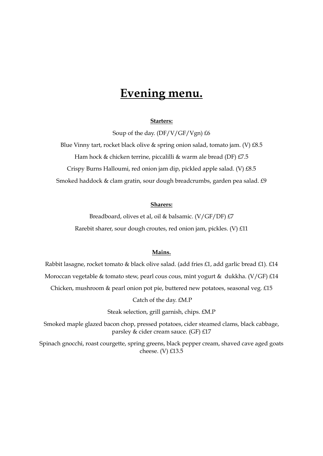# **Evening menu.**

### **Starters:**

Soup of the day. (DF/V/GF/Vgn) £6

Blue Vinny tart, rocket black olive & spring onion salad, tomato jam. (V) £8.5 Ham hock & chicken terrine, piccalilli & warm ale bread (DF) £7.5 Crispy Burns Halloumi, red onion jam dip, pickled apple salad. (V) £8.5 Smoked haddock & clam gratin, sour dough breadcrumbs, garden pea salad. £9

#### **Sharers:**

Breadboard, olives et al, oil & balsamic. (V/GF/DF) £7 Rarebit sharer, sour dough croutes, red onion jam, pickles. (V) £11

## **Mains.**

Rabbit lasagne, rocket tomato & black olive salad. (add fries £1, add garlic bread £1). £14 Moroccan vegetable & tomato stew, pearl cous cous, mint yogurt & dukkha. (V/GF) £14 Chicken, mushroom & pearl onion pot pie, buttered new potatoes, seasonal veg. £15 Catch of the day. £M.P Steak selection, grill garnish, chips. £M.P Smoked maple glazed bacon chop, pressed potatoes, cider steamed clams, black cabbage,

parsley & cider cream sauce. (GF) £17

Spinach gnocchi, roast courgette, spring greens, black pepper cream, shaved cave aged goats cheese. (V) £13.5